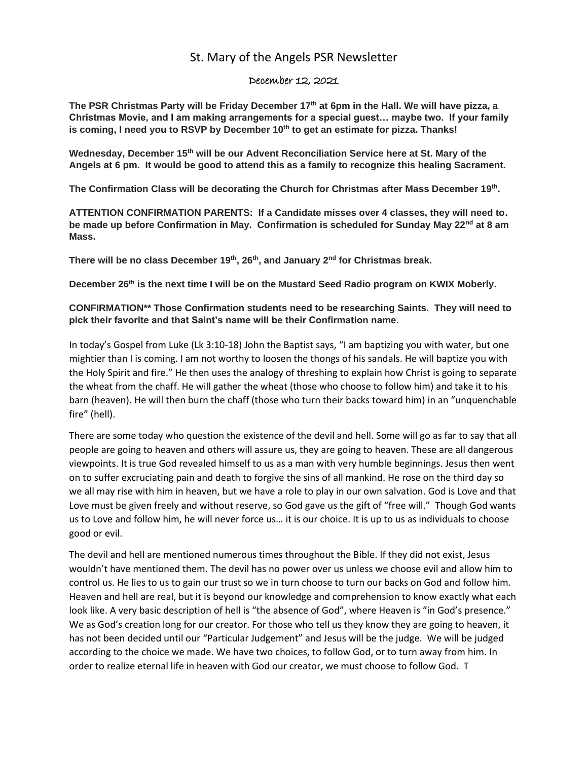## St. Mary of the Angels PSR Newsletter

## December 12, 2021

**The PSR Christmas Party will be Friday December 17th at 6pm in the Hall. We will have pizza, a Christmas Movie, and I am making arrangements for a special guest… maybe two. If your family is coming, I need you to RSVP by December 10th to get an estimate for pizza. Thanks!**

**Wednesday, December 15th will be our Advent Reconciliation Service here at St. Mary of the Angels at 6 pm. It would be good to attend this as a family to recognize this healing Sacrament.**

**The Confirmation Class will be decorating the Church for Christmas after Mass December 19th .**

**ATTENTION CONFIRMATION PARENTS: If a Candidate misses over 4 classes, they will need to. be made up before Confirmation in May. Confirmation is scheduled for Sunday May 22nd at 8 am Mass.** 

**There will be no class December 19th, 26th, and January 2nd for Christmas break.** 

**December 26th is the next time I will be on the Mustard Seed Radio program on KWIX Moberly.**

**CONFIRMATION\*\* Those Confirmation students need to be researching Saints. They will need to pick their favorite and that Saint's name will be their Confirmation name.**

In today's Gospel from Luke (Lk 3:10-18) John the Baptist says, "I am baptizing you with water, but one mightier than I is coming. I am not worthy to loosen the thongs of his sandals. He will baptize you with the Holy Spirit and fire." He then uses the analogy of threshing to explain how Christ is going to separate the wheat from the chaff. He will gather the wheat (those who choose to follow him) and take it to his barn (heaven). He will then burn the chaff (those who turn their backs toward him) in an "unquenchable fire" (hell).

There are some today who question the existence of the devil and hell. Some will go as far to say that all people are going to heaven and others will assure us, they are going to heaven. These are all dangerous viewpoints. It is true God revealed himself to us as a man with very humble beginnings. Jesus then went on to suffer excruciating pain and death to forgive the sins of all mankind. He rose on the third day so we all may rise with him in heaven, but we have a role to play in our own salvation. God is Love and that Love must be given freely and without reserve, so God gave us the gift of "free will." Though God wants us to Love and follow him, he will never force us… it is our choice. It is up to us as individuals to choose good or evil.

The devil and hell are mentioned numerous times throughout the Bible. If they did not exist, Jesus wouldn't have mentioned them. The devil has no power over us unless we choose evil and allow him to control us. He lies to us to gain our trust so we in turn choose to turn our backs on God and follow him. Heaven and hell are real, but it is beyond our knowledge and comprehension to know exactly what each look like. A very basic description of hell is "the absence of God", where Heaven is "in God's presence." We as God's creation long for our creator. For those who tell us they know they are going to heaven, it has not been decided until our "Particular Judgement" and Jesus will be the judge. We will be judged according to the choice we made. We have two choices, to follow God, or to turn away from him. In order to realize eternal life in heaven with God our creator, we must choose to follow God. T